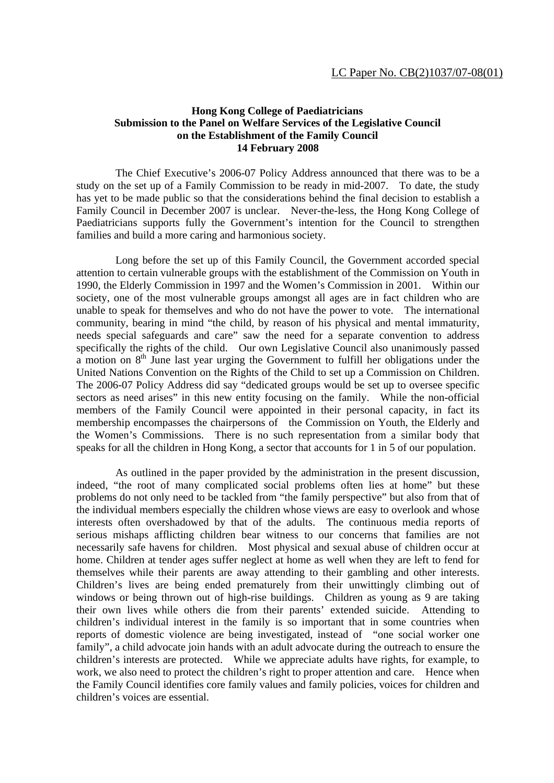## **Hong Kong College of Paediatricians Submission to the Panel on Welfare Services of the Legislative Council on the Establishment of the Family Council 14 February 2008**

The Chief Executive's 2006-07 Policy Address announced that there was to be a study on the set up of a Family Commission to be ready in mid-2007. To date, the study has yet to be made public so that the considerations behind the final decision to establish a Family Council in December 2007 is unclear. Never-the-less, the Hong Kong College of Paediatricians supports fully the Government's intention for the Council to strengthen families and build a more caring and harmonious society.

 Long before the set up of this Family Council, the Government accorded special attention to certain vulnerable groups with the establishment of the Commission on Youth in 1990, the Elderly Commission in 1997 and the Women's Commission in 2001. Within our society, one of the most vulnerable groups amongst all ages are in fact children who are unable to speak for themselves and who do not have the power to vote. The international community, bearing in mind "the child, by reason of his physical and mental immaturity, needs special safeguards and care" saw the need for a separate convention to address specifically the rights of the child. Our own Legislative Council also unanimously passed a motion on  $8<sup>th</sup>$  June last year urging the Government to fulfill her obligations under the United Nations Convention on the Rights of the Child to set up a Commission on Children. The 2006-07 Policy Address did say "dedicated groups would be set up to oversee specific sectors as need arises" in this new entity focusing on the family. While the non-official members of the Family Council were appointed in their personal capacity, in fact its membership encompasses the chairpersons of the Commission on Youth, the Elderly and the Women's Commissions. There is no such representation from a similar body that speaks for all the children in Hong Kong, a sector that accounts for 1 in 5 of our population.

 As outlined in the paper provided by the administration in the present discussion, indeed, "the root of many complicated social problems often lies at home" but these problems do not only need to be tackled from "the family perspective" but also from that of the individual members especially the children whose views are easy to overlook and whose interests often overshadowed by that of the adults. The continuous media reports of serious mishaps afflicting children bear witness to our concerns that families are not necessarily safe havens for children. Most physical and sexual abuse of children occur at home. Children at tender ages suffer neglect at home as well when they are left to fend for themselves while their parents are away attending to their gambling and other interests. Children's lives are being ended prematurely from their unwittingly climbing out of windows or being thrown out of high-rise buildings. Children as young as 9 are taking their own lives while others die from their parents' extended suicide. Attending to children's individual interest in the family is so important that in some countries when reports of domestic violence are being investigated, instead of "one social worker one family", a child advocate join hands with an adult advocate during the outreach to ensure the children's interests are protected. While we appreciate adults have rights, for example, to work, we also need to protect the children's right to proper attention and care. Hence when the Family Council identifies core family values and family policies, voices for children and children's voices are essential.